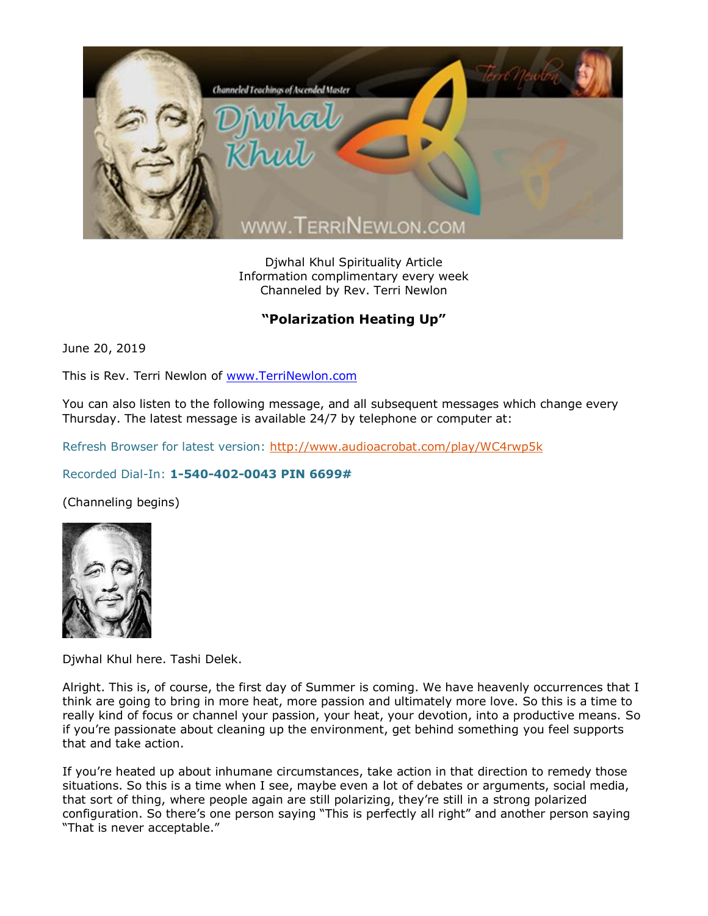

Djwhal Khul Spirituality Article Information complimentary every week Channeled by Rev. Terri Newlon

## **"Polarization Heating Up"**

June 20, 2019

This is Rev. Terri Newlon of [www.TerriNewlon.com](http://www.terrinewlon.com/)

You can also listen to the following message, and all subsequent messages which change every Thursday. The latest message is available 24/7 by telephone or computer at:

Refresh Browser for latest version:<http://www.audioacrobat.com/play/WC4rwp5k>

## Recorded Dial-In: **1-540-402-0043 PIN 6699#**

(Channeling begins)



Djwhal Khul here. Tashi Delek.

Alright. This is, of course, the first day of Summer is coming. We have heavenly occurrences that I think are going to bring in more heat, more passion and ultimately more love. So this is a time to really kind of focus or channel your passion, your heat, your devotion, into a productive means. So if you're passionate about cleaning up the environment, get behind something you feel supports that and take action.

If you're heated up about inhumane circumstances, take action in that direction to remedy those situations. So this is a time when I see, maybe even a lot of debates or arguments, social media, that sort of thing, where people again are still polarizing, they're still in a strong polarized configuration. So there's one person saying "This is perfectly all right" and another person saying "That is never acceptable."